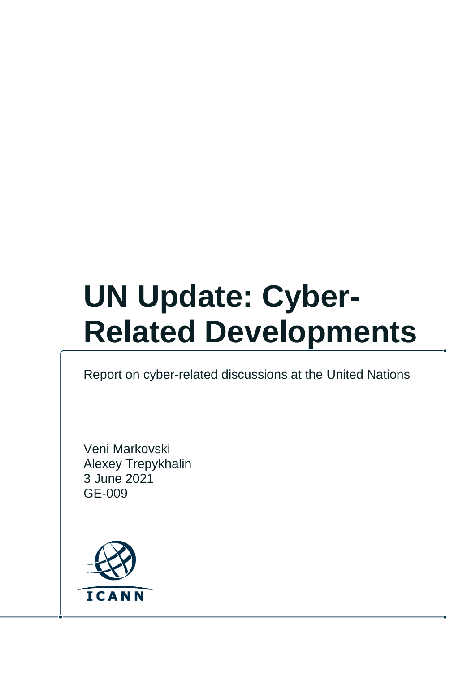# **UN Update: Cyber-Related Developments**

#### Report on cyber-related discussions at the United Nations

Veni Markovski Alexey Trepykhalin 3 June 2021 GE-009

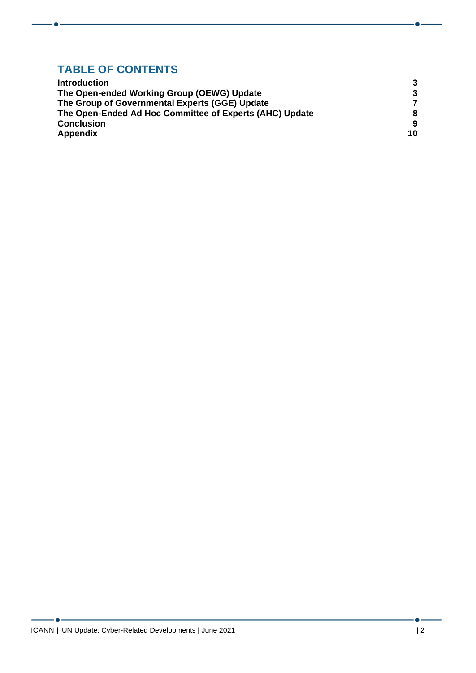# **TABLE OF CONTENTS**

| <b>Introduction</b>                                     | 3  |
|---------------------------------------------------------|----|
| The Open-ended Working Group (OEWG) Update              | -3 |
| The Group of Governmental Experts (GGE) Update          | 7  |
| The Open-Ended Ad Hoc Committee of Experts (AHC) Update | 8  |
| <b>Conclusion</b>                                       | 9  |
| <b>Appendix</b>                                         | 10 |

- 6 -

 $\blacksquare$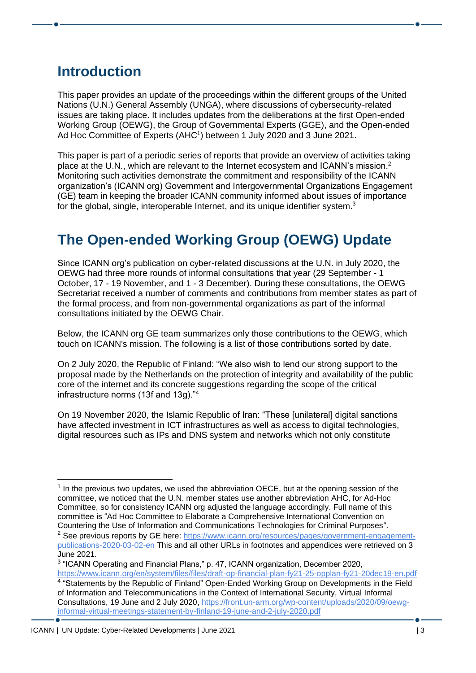### <span id="page-2-0"></span>**Introduction**

This paper provides an update of the proceedings within the different groups of the United Nations (U.N.) General Assembly (UNGA), where discussions of cybersecurity-related issues are taking place. It includes updates from the deliberations at the first Open-ended Working Group (OEWG), the Group of Governmental Experts (GGE), and the Open-ended Ad Hoc Committee of Experts (AHC<sup>1</sup>) between 1 July 2020 and 3 June 2021.

This paper is part of a periodic series of reports that provide an overview of activities taking place at the U.N., which are relevant to the Internet ecosystem and ICANN's mission.<sup>2</sup> Monitoring such activities demonstrate the commitment and responsibility of the ICANN organization's (ICANN org) Government and Intergovernmental Organizations Engagement (GE) team in keeping the broader ICANN community informed about issues of importance for the global, single, interoperable Internet, and its unique identifier system.<sup>3</sup>

# <span id="page-2-1"></span>**The Open-ended Working Group (OEWG) Update**

Since ICANN org's publication on cyber-related discussions at the U.N. in July 2020, the OEWG had three more rounds of informal consultations that year (29 September - 1 October, 17 - 19 November, and 1 - 3 December). During these consultations, the OEWG Secretariat received a number of comments and contributions from member states as part of the formal process, and from non-governmental organizations as part of the informal consultations initiated by the OEWG Chair.

Below, the ICANN org GE team summarizes only those contributions to the OEWG, which touch on ICANN's mission. The following is a list of those contributions sorted by date.

On 2 July 2020, the Republic of Finland: "We also wish to lend our strong support to the proposal made by the Netherlands on the protection of integrity and availability of the public core of the internet and its concrete suggestions regarding the scope of the critical infrastructure norms (13f and 13g)."<sup>4</sup>

On 19 November 2020, the Islamic Republic of Iran: "These [unilateral] digital sanctions have affected investment in ICT infrastructures as well as access to digital technologies, digital resources such as IPs and DNS system and networks which not only constitute

 $<sup>1</sup>$  In the previous two updates, we used the abbreviation OECE, but at the opening session of the</sup> committee, we noticed that the U.N. member states use another abbreviation AHC, for Ad-Hoc Committee, so for consistency ICANN org adjusted the language accordingly. Full name of this committee is "Ad Hoc Committee to Elaborate a Comprehensive International Convention on Countering the Use of Information and Communications Technologies for Criminal Purposes". <sup>2</sup> See previous reports by GE here: [https://www.icann.org/resources/pages/government-engagement](https://www.icann.org/resources/pages/government-engagement-publications-2020-03-02-en)[publications-2020-03-02-en](https://www.icann.org/resources/pages/government-engagement-publications-2020-03-02-en) This and all other URLs in footnotes and appendices were retrieved on 3 June 2021.

<sup>&</sup>lt;sup>3</sup> "ICANN Operating and Financial Plans," p. 47, ICANN organization, December 2020,

<https://www.icann.org/en/system/files/files/draft-op-financial-plan-fy21-25-opplan-fy21-20dec19-en.pdf> <sup>4</sup> "Statements by the Republic of Finland" Open-Ended Working Group on Developments in the Field of Information and Telecommunications in the Context of International Security, Virtual Informal Consultations, 19 June and 2 July 2020, [https://front.un-arm.org/wp-content/uploads/2020/09/oewg](https://front.un-arm.org/wp-content/uploads/2020/09/oewg-informal-virtual-meetings-statement-by-finland-19-june-and-2-july-2020.pdf)[informal-virtual-meetings-statement-by-finland-19-june-and-2-july-2020.pdf](https://front.un-arm.org/wp-content/uploads/2020/09/oewg-informal-virtual-meetings-statement-by-finland-19-june-and-2-july-2020.pdf)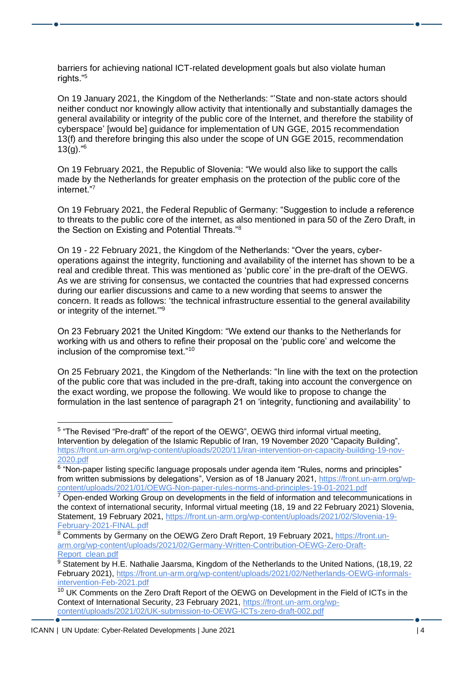barriers for achieving national ICT-related development goals but also violate human rights."<sup>5</sup>

On 19 January 2021, the Kingdom of the Netherlands: "'State and non-state actors should neither conduct nor knowingly allow activity that intentionally and substantially damages the general availability or integrity of the public core of the Internet, and therefore the stability of cyberspace' [would be] guidance for implementation of UN GGE, 2015 recommendation 13(f) and therefore bringing this also under the scope of UN GGE 2015, recommendation  $13(g)$ ."<sup>6</sup>

On 19 February 2021, the Republic of Slovenia: "We would also like to support the calls made by the Netherlands for greater emphasis on the protection of the public core of the internet."7

On 19 February 2021, the Federal Republic of Germany: "Suggestion to include a reference to threats to the public core of the internet, as also mentioned in para 50 of the Zero Draft, in the Section on Existing and Potential Threats."<sup>8</sup>

On 19 - 22 February 2021, the Kingdom of the Netherlands: "Over the years, cyberoperations against the integrity, functioning and availability of the internet has shown to be a real and credible threat. This was mentioned as 'public core' in the pre-draft of the OEWG. As we are striving for consensus, we contacted the countries that had expressed concerns during our earlier discussions and came to a new wording that seems to answer the concern. It reads as follows: 'the technical infrastructure essential to the general availability or integrity of the internet."<sup>9</sup>

On 23 February 2021 the United Kingdom: "We extend our thanks to the Netherlands for working with us and others to refine their proposal on the 'public core' and welcome the inclusion of the compromise text."<sup>10</sup>

On 25 February 2021, the Kingdom of the Netherlands: "In line with the text on the protection of the public core that was included in the pre-draft, taking into account the convergence on the exact wording, we propose the following. We would like to propose to change the formulation in the last sentence of paragraph 21 on 'integrity, functioning and availability' to

<sup>&</sup>lt;sup>5</sup> "The Revised "Pre-draft" of the report of the OEWG", OEWG third informal virtual meeting, Intervention by delegation of the Islamic Republic of Iran, 19 November 2020 "Capacity Building", [https://front.un-arm.org/wp-content/uploads/2020/11/iran-intervention-on-capacity-building-19-nov-](https://front.un-arm.org/wp-content/uploads/2020/11/iran-intervention-on-capacity-building-19-nov-2020.pdf)[2020.pdf](https://front.un-arm.org/wp-content/uploads/2020/11/iran-intervention-on-capacity-building-19-nov-2020.pdf)

<sup>&</sup>lt;sup>6</sup> "Non-paper listing specific language proposals under agenda item "Rules, norms and principles" from written submissions by delegations", Version as of 18 January 2021, [https://front.un-arm.org/wp](https://front.un-arm.org/wp-content/uploads/2021/01/OEWG-Non-paper-rules-norms-and-principles-19-01-2021.pdf)[content/uploads/2021/01/OEWG-Non-paper-rules-norms-and-principles-19-01-2021.pdf](https://front.un-arm.org/wp-content/uploads/2021/01/OEWG-Non-paper-rules-norms-and-principles-19-01-2021.pdf)

 $7$  Open-ended Working Group on developments in the field of information and telecommunications in the context of international security, Informal virtual meeting (18, 19 and 22 February 2021) Slovenia, Statement, 19 February 2021, [https://front.un-arm.org/wp-content/uploads/2021/02/Slovenia-19-](https://front.un-arm.org/wp-content/uploads/2021/02/Slovenia-19-February-2021-FINAL.pdf) [February-2021-FINAL.pdf](https://front.un-arm.org/wp-content/uploads/2021/02/Slovenia-19-February-2021-FINAL.pdf)

<sup>8</sup> Comments by Germany on the OEWG Zero Draft Report, 19 February 2021, [https://front.un](https://front.un-arm.org/wp-content/uploads/2021/02/Germany-Written-Contribution-OEWG-Zero-Draft-Report_clean.pdf)[arm.org/wp-content/uploads/2021/02/Germany-Written-Contribution-OEWG-Zero-Draft-](https://front.un-arm.org/wp-content/uploads/2021/02/Germany-Written-Contribution-OEWG-Zero-Draft-Report_clean.pdf)[Report\\_clean.pdf](https://front.un-arm.org/wp-content/uploads/2021/02/Germany-Written-Contribution-OEWG-Zero-Draft-Report_clean.pdf)

<sup>&</sup>lt;sup>9</sup> Statement by H.E. Nathalie Jaarsma, Kingdom of the Netherlands to the United Nations, (18,19, 22 February 2021), [https://front.un-arm.org/wp-content/uploads/2021/02/Netherlands-OEWG-informals](https://front.un-arm.org/wp-content/uploads/2021/02/Netherlands-OEWG-informals-intervention-Feb-2021.pdf)[intervention-Feb-2021.pdf](https://front.un-arm.org/wp-content/uploads/2021/02/Netherlands-OEWG-informals-intervention-Feb-2021.pdf)

<sup>&</sup>lt;sup>10</sup> UK Comments on the Zero Draft Report of the OEWG on Development in the Field of ICTs in the Context of International Security, 23 February 2021, [https://front.un-arm.org/wp](https://front.un-arm.org/wp-content/uploads/2021/02/UK-submission-to-OEWG-ICTs-zero-draft-002.pdf)[content/uploads/2021/02/UK-submission-to-OEWG-ICTs-zero-draft-002.pdf](https://front.un-arm.org/wp-content/uploads/2021/02/UK-submission-to-OEWG-ICTs-zero-draft-002.pdf)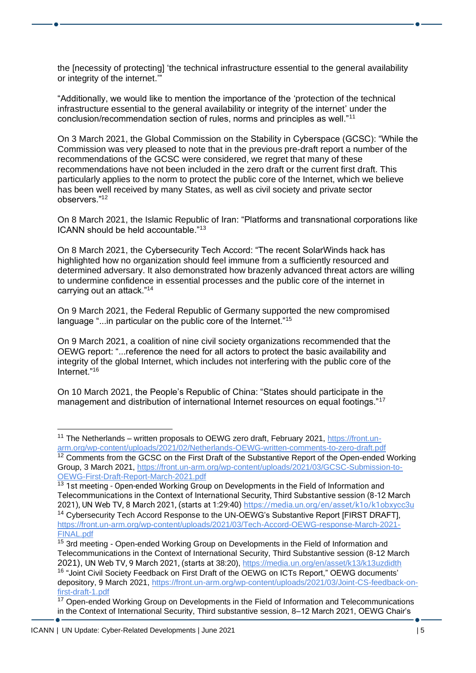the [necessity of protecting] 'the technical infrastructure essential to the general availability or integrity of the internet.'"

"Additionally, we would like to mention the importance of the 'protection of the technical infrastructure essential to the general availability or integrity of the internet' under the conclusion/recommendation section of rules, norms and principles as well."<sup>11</sup>

On 3 March 2021, the Global Commission on the Stability in Cyberspace (GCSC): "While the Commission was very pleased to note that in the previous pre-draft report a number of the recommendations of the GCSC were considered, we regret that many of these recommendations have not been included in the zero draft or the current first draft. This particularly applies to the norm to protect the public core of the Internet, which we believe has been well received by many States, as well as civil society and private sector observers."<sup>12</sup>

On 8 March 2021, the Islamic Republic of Iran: "Platforms and transnational corporations like ICANN should be held accountable."<sup>13</sup>

On 8 March 2021, the Cybersecurity Tech Accord: "The recent SolarWinds hack has highlighted how no organization should feel immune from a sufficiently resourced and determined adversary. It also demonstrated how brazenly advanced threat actors are willing to undermine confidence in essential processes and the public core of the internet in carrying out an attack."<sup>14</sup>

On 9 March 2021, the Federal Republic of Germany supported the new compromised language "...in particular on the public core of the Internet."<sup>15</sup>

On 9 March 2021, a coalition of nine civil society organizations recommended that the OEWG report: "...reference the need for all actors to protect the basic availability and integrity of the global Internet, which includes not interfering with the public core of the Internet."<sup>16</sup>

On 10 March 2021, the People's Republic of China: "States should participate in the management and distribution of international Internet resources on equal footings."<sup>17</sup>

<sup>&</sup>lt;sup>11</sup> The Netherlands – written proposals to OEWG zero draft, February 2021, [https://front.un](https://front.un-arm.org/wp-content/uploads/2021/02/Netherlands-OEWG-written-comments-to-zero-draft.pdf)[arm.org/wp-content/uploads/2021/02/Netherlands-OEWG-written-comments-to-zero-draft.pdf](https://front.un-arm.org/wp-content/uploads/2021/02/Netherlands-OEWG-written-comments-to-zero-draft.pdf)

 $12$  Comments from the GCSC on the First Draft of the Substantive Report of the Open-ended Working Group, 3 March 2021, [https://front.un-arm.org/wp-content/uploads/2021/03/GCSC-Submission-to-](https://front.un-arm.org/wp-content/uploads/2021/03/GCSC-Submission-to-OEWG-First-Draft-Report-March-2021.pdf)[OEWG-First-Draft-Report-March-2021.pdf](https://front.un-arm.org/wp-content/uploads/2021/03/GCSC-Submission-to-OEWG-First-Draft-Report-March-2021.pdf)

<sup>&</sup>lt;sup>13</sup> 1st meeting - Open-ended Working Group on Developments in the Field of Information and Telecommunications in the Context of International Security, Third Substantive session (8-12 March 2021), UN Web TV, 8 March 2021, (starts at 1:29:40)<https://media.un.org/en/asset/k1o/k1obxycc3u>

<sup>&</sup>lt;sup>14</sup> Cybersecurity Tech Accord Response to the UN-OEWG's Substantive Report [FIRST DRAFT], [https://front.un-arm.org/wp-content/uploads/2021/03/Tech-Accord-OEWG-response-March-2021-](https://front.un-arm.org/wp-content/uploads/2021/03/Tech-Accord-OEWG-response-March-2021-FINAL.pdf) [FINAL.pdf](https://front.un-arm.org/wp-content/uploads/2021/03/Tech-Accord-OEWG-response-March-2021-FINAL.pdf)

<sup>&</sup>lt;sup>15</sup> 3rd meeting - Open-ended Working Group on Developments in the Field of Information and Telecommunications in the Context of International Security, Third Substantive session (8-12 March 2021), UN Web TV, 9 March 2021, (starts at 38:20),<https://media.un.org/en/asset/k13/k13uzdidth> <sup>16</sup> "Joint Civil Society Feedback on First Draft of the OEWG on ICTs Report," OEWG documents' depository, 9 March 2021, [https://front.un-arm.org/wp-content/uploads/2021/03/Joint-CS-feedback-on](https://front.un-arm.org/wp-content/uploads/2021/03/Joint-CS-feedback-on-first-draft-1.pdf)[first-draft-1.pdf](https://front.un-arm.org/wp-content/uploads/2021/03/Joint-CS-feedback-on-first-draft-1.pdf)

<sup>&</sup>lt;sup>17</sup> Open-ended Working Group on Developments in the Field of Information and Telecommunications in the Context of International Security, Third substantive session, 8–12 March 2021, OEWG Chair's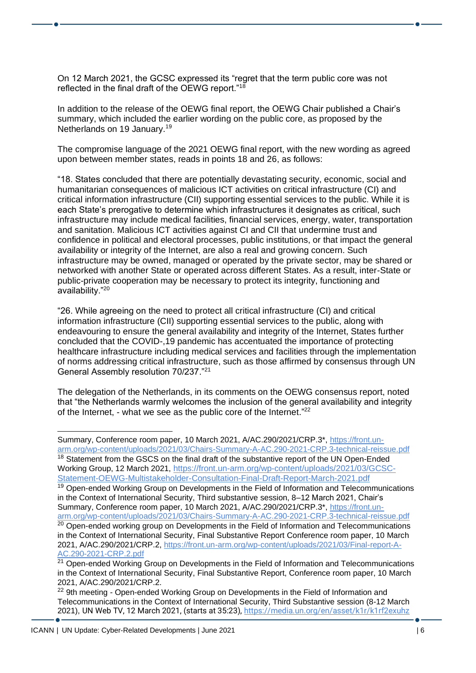On 12 March 2021, the GCSC expressed its "regret that the term public core was not reflected in the final draft of the OEWG report."<sup>18</sup>

In addition to the release of the OEWG final report, the OEWG Chair published a Chair's summary, which included the earlier wording on the public core, as proposed by the Netherlands on 19 January.<sup>19</sup>

The compromise language of the 2021 OEWG final report, with the new wording as agreed upon between member states, reads in points 18 and 26, as follows:

"18. States concluded that there are potentially devastating security, economic, social and humanitarian consequences of malicious ICT activities on critical infrastructure (CI) and critical information infrastructure (CII) supporting essential services to the public. While it is each State's prerogative to determine which infrastructures it designates as critical, such infrastructure may include medical facilities, financial services, energy, water, transportation and sanitation. Malicious ICT activities against CI and CII that undermine trust and confidence in political and electoral processes, public institutions, or that impact the general availability or integrity of the Internet, are also a real and growing concern. Such infrastructure may be owned, managed or operated by the private sector, may be shared or networked with another State or operated across different States. As a result, inter-State or public-private cooperation may be necessary to protect its integrity, functioning and availability."<sup>20</sup>

"26. While agreeing on the need to protect all critical infrastructure (CI) and critical information infrastructure (CII) supporting essential services to the public, along with endeavouring to ensure the general availability and integrity of the Internet, States further concluded that the COVID-,19 pandemic has accentuated the importance of protecting healthcare infrastructure including medical services and facilities through the implementation of norms addressing critical infrastructure, such as those affirmed by consensus through UN General Assembly resolution 70/237."<sup>21</sup>

The delegation of the Netherlands, in its comments on the OEWG consensus report, noted that "the Netherlands warmly welcomes the inclusion of the general availability and integrity of the Internet, - what we see as the public core of the Internet."<sup>22</sup>

<sup>19</sup> Open-ended Working Group on Developments in the Field of Information and Telecommunications in the Context of International Security, Third substantive session, 8–12 March 2021, Chair's Summary, Conference room paper, 10 March 2021, A/AC.290/2021/CRP.3\*, [https://front.un](https://front.un-arm.org/wp-content/uploads/2021/03/Chairs-Summary-A-AC.290-2021-CRP.3-technical-reissue.pdf)[arm.org/wp-content/uploads/2021/03/Chairs-Summary-A-AC.290-2021-CRP.3-technical-reissue.pdf](https://front.un-arm.org/wp-content/uploads/2021/03/Chairs-Summary-A-AC.290-2021-CRP.3-technical-reissue.pdf)

Summary, Conference room paper, 10 March 2021, A/AC.290/2021/CRP.3\*, [https://front.un](https://front.un-arm.org/wp-content/uploads/2021/03/Chairs-Summary-A-AC.290-2021-CRP.3-technical-reissue.pdf)[arm.org/wp-content/uploads/2021/03/Chairs-Summary-A-AC.290-2021-CRP.3-technical-reissue.pdf](https://front.un-arm.org/wp-content/uploads/2021/03/Chairs-Summary-A-AC.290-2021-CRP.3-technical-reissue.pdf) <sup>18</sup> Statement from the GSCS on the final draft of the substantive report of the UN Open-Ended Working Group, 12 March 2021, [https://front.un-arm.org/wp-content/uploads/2021/03/GCSC-](https://front.un-arm.org/wp-content/uploads/2021/03/GCSC-Statement-OEWG-Multistakeholder-Consultation-Final-Draft-Report-March-2021.pdf)

[Statement-OEWG-Multistakeholder-Consultation-Final-Draft-Report-March-2021.pdf](https://front.un-arm.org/wp-content/uploads/2021/03/GCSC-Statement-OEWG-Multistakeholder-Consultation-Final-Draft-Report-March-2021.pdf)

<sup>&</sup>lt;sup>20</sup> Open-ended working group on Developments in the Field of Information and Telecommunications in the Context of International Security, Final Substantive Report Conference room paper, 10 March 2021, A/AC.290/2021/CRP.2, [https://front.un-arm.org/wp-content/uploads/2021/03/Final-report-A-](https://front.un-arm.org/wp-content/uploads/2021/03/Final-report-A-AC.290-2021-CRP.2.pdf)[AC.290-2021-CRP.2.pdf](https://front.un-arm.org/wp-content/uploads/2021/03/Final-report-A-AC.290-2021-CRP.2.pdf)

 $21$  Open-ended Working Group on Developments in the Field of Information and Telecommunications in the Context of International Security, Final Substantive Report, Conference room paper, 10 March 2021, A/AC.290/2021/CRP.2.

<sup>&</sup>lt;sup>22</sup> 9th meeting - Open-ended Working Group on Developments in the Field of Information and Telecommunications in the Context of International Security, Third Substantive session (8-12 March 2021), UN Web TV, 12 March 2021, (starts at 35:23),<https://media.un.org/en/asset/k1r/k1rf2exuhz>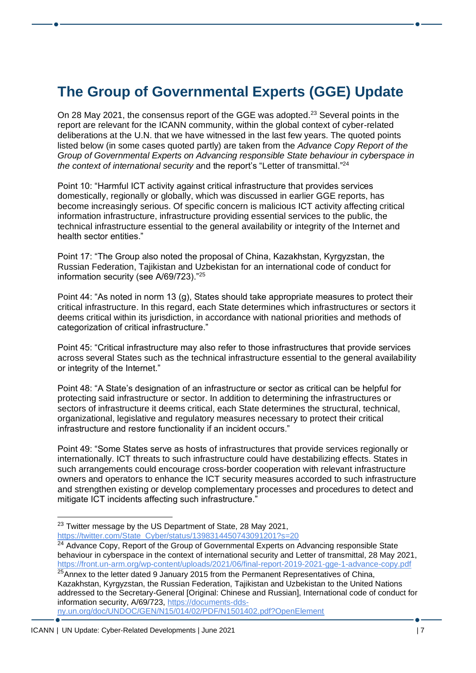# <span id="page-6-0"></span>**The Group of Governmental Experts (GGE) Update**

On 28 May 2021, the consensus report of the GGE was adopted.<sup>23</sup> Several points in the report are relevant for the ICANN community, within the global context of cyber-related deliberations at the U.N. that we have witnessed in the last few years. The quoted points listed below (in some cases quoted partly) are taken from the *Advance Copy Report of the Group of Governmental Experts on Advancing responsible State behaviour in cyberspace in the context of international security* and the report's "Letter of transmittal." 24

Point 10: "Harmful ICT activity against critical infrastructure that provides services domestically, regionally or globally, which was discussed in earlier GGE reports, has become increasingly serious. Of specific concern is malicious ICT activity affecting critical information infrastructure, infrastructure providing essential services to the public, the technical infrastructure essential to the general availability or integrity of the Internet and health sector entities."

Point 17: "The Group also noted the proposal of China, Kazakhstan, Kyrgyzstan, the Russian Federation, Tajikistan and Uzbekistan for an international code of conduct for information security (see A/69/723)."<sup>25</sup>

Point 44: "As noted in norm 13 (g), States should take appropriate measures to protect their critical infrastructure. In this regard, each State determines which infrastructures or sectors it deems critical within its jurisdiction, in accordance with national priorities and methods of categorization of critical infrastructure."

Point 45: "Critical infrastructure may also refer to those infrastructures that provide services across several States such as the technical infrastructure essential to the general availability or integrity of the Internet."

Point 48: "A State's designation of an infrastructure or sector as critical can be helpful for protecting said infrastructure or sector. In addition to determining the infrastructures or sectors of infrastructure it deems critical, each State determines the structural, technical, organizational, legislative and regulatory measures necessary to protect their critical infrastructure and restore functionality if an incident occurs."

Point 49: "Some States serve as hosts of infrastructures that provide services regionally or internationally. ICT threats to such infrastructure could have destabilizing effects. States in such arrangements could encourage cross-border cooperation with relevant infrastructure owners and operators to enhance the ICT security measures accorded to such infrastructure and strengthen existing or develop complementary processes and procedures to detect and mitigate ICT incidents affecting such infrastructure."

<sup>23</sup> Twitter message by the US Department of State, 28 May 2021, [https://twitter.com/State\\_Cyber/status/1398314450743091201?s=20](https://twitter.com/State_Cyber/status/1398314450743091201?s=20)

<sup>&</sup>lt;sup>24</sup> Advance Copy, Report of the Group of Governmental Experts on Advancing responsible State behaviour in cyberspace in the context of international security and Letter of transmittal, 28 May 2021, <https://front.un-arm.org/wp-content/uploads/2021/06/final-report-2019-2021-gge-1-advance-copy.pdf>

 $25$ Annex to the letter dated 9 January 2015 from the Permanent Representatives of China, Kazakhstan, Kyrgyzstan, the Russian Federation, Tajikistan and Uzbekistan to the United Nations addressed to the Secretary-General [Original: Chinese and Russian], International code of conduct for information security, A/69/723, [https://documents-dds](https://documents-dds-ny.un.org/doc/UNDOC/GEN/N15/014/02/PDF/N1501402.pdf?OpenElement)[ny.un.org/doc/UNDOC/GEN/N15/014/02/PDF/N1501402.pdf?OpenElement](https://documents-dds-ny.un.org/doc/UNDOC/GEN/N15/014/02/PDF/N1501402.pdf?OpenElement)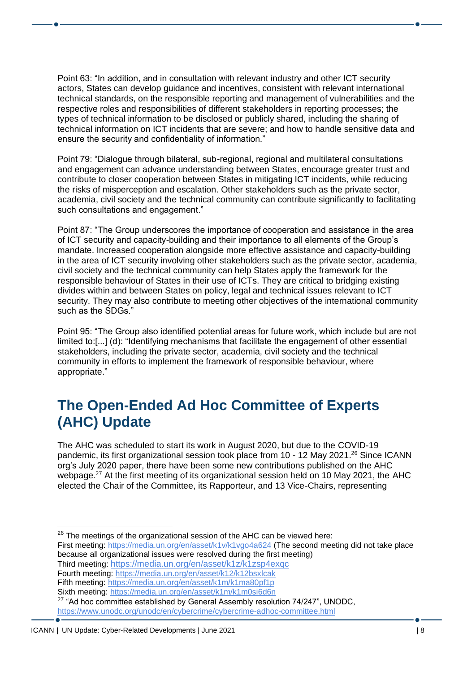Point 63: "In addition, and in consultation with relevant industry and other ICT security actors, States can develop guidance and incentives, consistent with relevant international technical standards, on the responsible reporting and management of vulnerabilities and the respective roles and responsibilities of different stakeholders in reporting processes; the types of technical information to be disclosed or publicly shared, including the sharing of technical information on ICT incidents that are severe; and how to handle sensitive data and ensure the security and confidentiality of information."

Point 79: "Dialogue through bilateral, sub-regional, regional and multilateral consultations and engagement can advance understanding between States, encourage greater trust and contribute to closer cooperation between States in mitigating ICT incidents, while reducing the risks of misperception and escalation. Other stakeholders such as the private sector, academia, civil society and the technical community can contribute significantly to facilitating such consultations and engagement."

Point 87: "The Group underscores the importance of cooperation and assistance in the area of ICT security and capacity-building and their importance to all elements of the Group's mandate. Increased cooperation alongside more effective assistance and capacity-building in the area of ICT security involving other stakeholders such as the private sector, academia, civil society and the technical community can help States apply the framework for the responsible behaviour of States in their use of ICTs. They are critical to bridging existing divides within and between States on policy, legal and technical issues relevant to ICT security. They may also contribute to meeting other objectives of the international community such as the SDGs."

Point 95: "The Group also identified potential areas for future work, which include but are not limited to:[...] (d): "Identifying mechanisms that facilitate the engagement of other essential stakeholders, including the private sector, academia, civil society and the technical community in efforts to implement the framework of responsible behaviour, where appropriate."

#### <span id="page-7-0"></span>**The Open-Ended Ad Hoc Committee of Experts (AHC) Update**

The AHC was scheduled to start its work in August 2020, but due to the COVID-19 pandemic, its first organizational session took place from 10 - 12 May 2021.<sup>26</sup> Since ICANN org's July 2020 paper, there have been some new contributions published on the AHC webpage.<sup>27</sup> At the first meeting of its organizational session held on 10 May 2021, the AHC elected the Chair of the Committee, its Rapporteur, and 13 Vice-Chairs, representing

First meeting:<https://media.un.org/en/asset/k1v/k1vgo4a624> (The second meeting did not take place because all organizational issues were resolved during the first meeting) Third meeting: <https://media.un.org/en/asset/k1z/k1zsp4exqc>

Fifth meeting:<https://media.un.org/en/asset/k1m/k1ma80pf1p>

 $26$  The meetings of the organizational session of the AHC can be viewed here:

Fourth meeting:<https://media.un.org/en/asset/k12/k12bsxlcak>

Sixth meeting:<https://media.un.org/en/asset/k1m/k1m0si6d6n>

<sup>&</sup>lt;sup>27</sup> "Ad hoc committee established by General Assembly resolution 74/247", UNODC,

<https://www.unodc.org/unodc/en/cybercrime/cybercrime-adhoc-committee.html>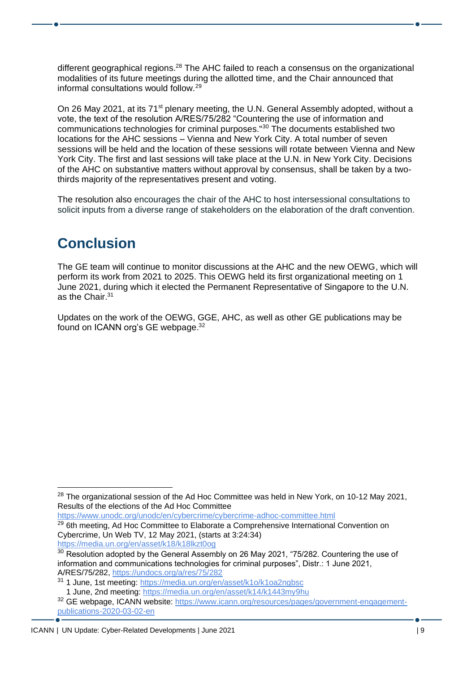different geographical regions.<sup>28</sup> The AHC failed to reach a consensus on the organizational modalities of its future meetings during the allotted time, and the Chair announced that informal consultations would follow.<sup>29</sup>

On 26 May 2021, at its 71<sup>st</sup> plenary meeting, the U.N. General Assembly adopted, without a vote, the text of the resolution A/RES/75/282 "Countering the use of information and communications technologies for criminal purposes.''<sup>30</sup> The documents established two locations for the AHC sessions – Vienna and New York City. A total number of seven sessions will be held and the location of these sessions will rotate between Vienna and New York City. The first and last sessions will take place at the U.N. in New York City. Decisions of the AHC on substantive matters without approval by consensus, shall be taken by a twothirds majority of the representatives present and voting.

The resolution also encourages the chair of the AHC to host intersessional consultations to solicit inputs from a diverse range of stakeholders on the elaboration of the draft convention.

### <span id="page-8-0"></span>**Conclusion**

The GE team will continue to monitor discussions at the AHC and the new OEWG, which will perform its work from 2021 to 2025. This OEWG held its first organizational meeting on 1 June 2021, during which it elected the Permanent Representative of Singapore to the U.N. as the Chair.<sup>31</sup>

Updates on the work of the OEWG, GGE, AHC, as well as other GE publications may be found on ICANN org's GE webpage.<sup>32</sup>

<https://www.unodc.org/unodc/en/cybercrime/cybercrime-adhoc-committee.html> <sup>29</sup> 6th meeting, Ad Hoc Committee to Elaborate a Comprehensive International Convention on Cybercrime, Un Web TV, 12 May 2021, (starts at 3:24:34)

https://media.un.org/en/asset/k18/k18lkzt0og

 $28$  The organizational session of the Ad Hoc Committee was held in New York, on 10-12 May 2021, Results of the elections of the Ad Hoc Committee

<sup>&</sup>lt;sup>30</sup> Resolution adopted by the General Assembly on 26 May 2021, "75/282. Countering the use of information and communications technologies for criminal purposes", Distr.: 1 June 2021, A/RES/75/282,<https://undocs.org/a/res/75/282>

<sup>31</sup> 1 June, 1st meeting:<https://media.un.org/en/asset/k1o/k1oa2ngbsc> 1 June, 2nd meeting:<https://media.un.org/en/asset/k14/k1443my9hu>

<sup>32</sup> GE webpage, ICANN website: [https://www.icann.org/resources/pages/government-engagement](https://www.icann.org/resources/pages/government-engagement-publications-2020-03-02-en)[publications-2020-03-02-en](https://www.icann.org/resources/pages/government-engagement-publications-2020-03-02-en) 

ICANN | UN Update: Cyber-Related Developments | June 2021 | 9